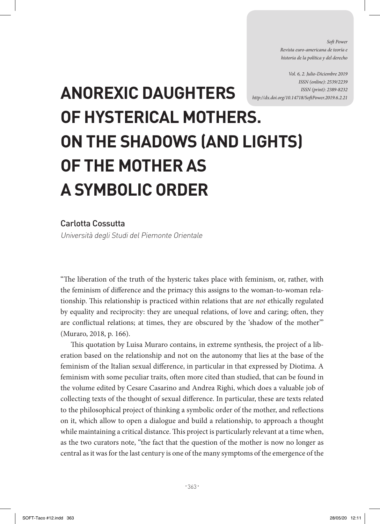*Soft Power Revista euro-americana de teoría e historia de la política y del derecho* 

*Vol. 6, 2. Julio-Diciembre 2019 ISSN (online): 2539/2239 ISSN (print): 2389-8232 http://dx.doi.org/10.14718/SoftPower.2019.6.2.21*

## **ANOREXIC DAUGHTERS OF HYSTERICAL MOTHERS. ON THE SHADOWS (AND LIGHTS) OF THE MOTHER AS A SYMBOLIC ORDER**

## Carlotta Cossutta

Università degli Studi del Piemonte Orientale

"The liberation of the truth of the hysteric takes place with feminism, or, rather, with the feminism of difference and the primacy this assigns to the woman-to-woman relationship. This relationship is practiced within relations that are *not* ethically regulated by equality and reciprocity: they are unequal relations, of love and caring; often, they are conflictual relations; at times, they are obscured by the 'shadow of the mother'" (Muraro, 2018, p. 166).

This quotation by Luisa Muraro contains, in extreme synthesis, the project of a liberation based on the relationship and not on the autonomy that lies at the base of the feminism of the Italian sexual difference, in particular in that expressed by Diotima. A feminism with some peculiar traits, often more cited than studied, that can be found in the volume edited by Cesare Casarino and Andrea Righi, which does a valuable job of collecting texts of the thought of sexual difference. In particular, these are texts related to the philosophical project of thinking a symbolic order of the mother, and reflections on it, which allow to open a dialogue and build a relationship, to approach a thought while maintaining a critical distance. This project is particularly relevant at a time when, as the two curators note, "the fact that the question of the mother is now no longer as central as it was for the last century is one of the many symptoms of the emergence of the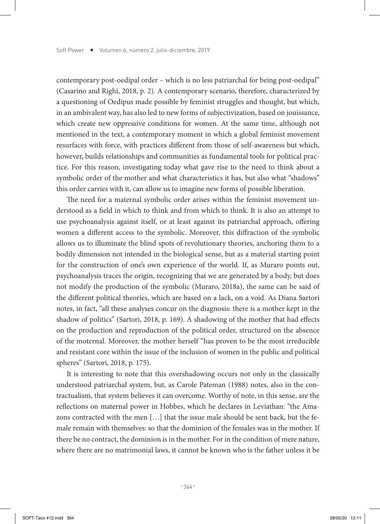contemporary post-oedipal order – which is no less patriarchal for being post-oedipal" (Casarino and Righi, 2018, p. 2). A contemporary scenario, therefore, characterized by a questioning of Oedipus made possible by feminist struggles and thought, but which, in an ambivalent way, has also led to new forms of subjectivization, based on jouissance, which create new oppressive conditions for women. At the same time, although not mentioned in the text, a contemporary moment in which a global feminist movement resurfaces with force, with practices different from those of self-awareness but which, however, builds relationships and communities as fundamental tools for political practice. For this reason, investigating today what gave rise to the need to think about a symbolic order of the mother and what characteristics it has, but also what "shadows" this order carries with it, can allow us to imagine new forms of possible liberation.

The need for a maternal symbolic order arises within the feminist movement understood as a field in which to think and from which to think. It is also an attempt to use psychoanalysis against itself, or at least against its patriarchal approach, offering women a different access to the symbolic. Moreover, this diffraction of the symbolic allows us to illuminate the blind spots of revolutionary theories, anchoring them to a bodily dimension not intended in the biological sense, but as a material starting point for the construction of one's own experience of the world. If, as Muraro points out, psychoanalysis traces the origin, recognizing that we are generated by a body, but does not modify the production of the symbolic (Muraro, 2018a), the same can be said of the different political theories, which are based on a lack, on a void. As Diana Sartori notes, in fact, "all these analyses concur on the diagnosis: there is a mother kept in the shadow of politics" (Sartori, 2018, p. 169). A shadowing of the mother that had effects on the production and reproduction of the political order, structured on the absence of the moternal. Moreover, the mother herself "has proven to be the most irreducible and resistant core within the issue of the inclusion of women in the public and political spheres" (Sartori, 2018, p. 175).

It is interesting to note that this overshadowing occurs not only in the classically understood patriarchal system, but, as Carole Pateman (1988) notes, also in the contractualism, that system believes it can overcome. Worthy of note, in this sense, are the reflections on maternal power in Hobbes, which he declares in Leviathan: "the Amazons contracted with the men […] that the issue male should be sent back, but the female remain with themselves: so that the dominion of the females was in the mother. If there be no contract, the dominion is in the mother. For in the condition of mere nature, where there are no matrimonial laws, it cannot be known who is the father unless it be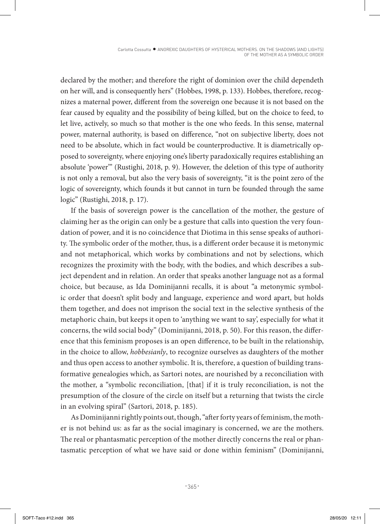declared by the mother; and therefore the right of dominion over the child dependeth on her will, and is consequently hers" (Hobbes, 1998, p. 133). Hobbes, therefore, recognizes a maternal power, different from the sovereign one because it is not based on the fear caused by equality and the possibility of being killed, but on the choice to feed, to let live, actively, so much so that mother is the one who feeds. In this sense, maternal power, maternal authority, is based on difference, "not on subjective liberty, does not need to be absolute, which in fact would be counterproductive. It is diametrically opposed to sovereignty, where enjoying one's liberty paradoxically requires establishing an absolute 'power'" (Rustighi, 2018, p. 9). However, the deletion of this type of authority is not only a removal, but also the very basis of sovereignty, "it is the point zero of the logic of sovereignty, which founds it but cannot in turn be founded through the same logic" (Rustighi, 2018, p. 17).

If the basis of sovereign power is the cancellation of the mother, the gesture of claiming her as the origin can only be a gesture that calls into question the very foundation of power, and it is no coincidence that Diotima in this sense speaks of authority. The symbolic order of the mother, thus, is a different order because it is metonymic and not metaphorical, which works by combinations and not by selections, which recognizes the proximity with the body, with the bodies, and which describes a subject dependent and in relation. An order that speaks another language not as a formal choice, but because, as Ida Dominijanni recalls, it is about "a metonymic symbolic order that doesn't split body and language, experience and word apart, but holds them together, and does not imprison the social text in the selective synthesis of the metaphoric chain, but keeps it open to 'anything we want to say', especially for what it concerns, the wild social body" (Dominijanni, 2018, p. 50). For this reason, the difference that this feminism proposes is an open difference, to be built in the relationship, in the choice to allow, *hobbesianly*, to recognize ourselves as daughters of the mother and thus open access to another symbolic. It is, therefore, a question of building transformative genealogies which, as Sartori notes, are nourished by a reconciliation with the mother, a "symbolic reconciliation, [that] if it is truly reconciliation, is not the presumption of the closure of the circle on itself but a returning that twists the circle in an evolving spiral" (Sartori, 2018, p. 185).

As Dominijanni rightly points out, though, "after forty years of feminism, the mother is not behind us: as far as the social imaginary is concerned, we are the mothers. The real or phantasmatic perception of the mother directly concerns the real or phantasmatic perception of what we have said or done within feminism" (Dominijanni,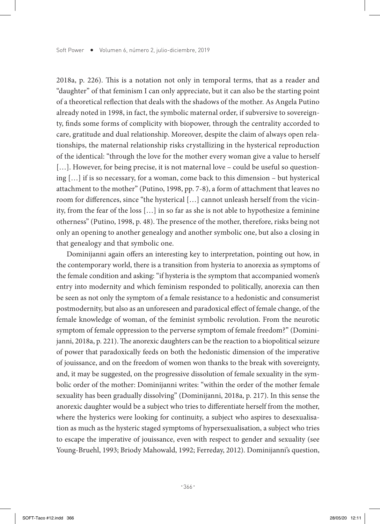2018a, p. 226). This is a notation not only in temporal terms, that as a reader and "daughter" of that feminism I can only appreciate, but it can also be the starting point of a theoretical reflection that deals with the shadows of the mother. As Angela Putino already noted in 1998, in fact, the symbolic maternal order, if subversive to sovereignty, finds some forms of complicity with biopower, through the centrality accorded to care, gratitude and dual relationship. Moreover, despite the claim of always open relationships, the maternal relationship risks crystallizing in the hysterical reproduction of the identical: "through the love for the mother every woman give a value to herself [...]. However, for being precise, it is not maternal love – could be useful so questioning […] if is so necessary, for a woman, come back to this dimension – but hysterical attachment to the mother" (Putino, 1998, pp. 7-8), a form of attachment that leaves no room for differences, since "the hysterical […] cannot unleash herself from the vicinity, from the fear of the loss […] in so far as she is not able to hypothesize a feminine otherness" (Putino, 1998, p. 48). The presence of the mother, therefore, risks being not only an opening to another genealogy and another symbolic one, but also a closing in that genealogy and that symbolic one.

Dominijanni again offers an interesting key to interpretation, pointing out how, in the contemporary world, there is a transition from hysteria to anorexia as symptoms of the female condition and asking: "if hysteria is the symptom that accompanied women's entry into modernity and which feminism responded to politically, anorexia can then be seen as not only the symptom of a female resistance to a hedonistic and consumerist postmodernity, but also as an unforeseen and paradoxical effect of female change, of the female knowledge of woman, of the feminist symbolic revolution. From the neurotic symptom of female oppression to the perverse symptom of female freedom?" (Dominijanni, 2018a, p. 221). The anorexic daughters can be the reaction to a biopolitical seizure of power that paradoxically feeds on both the hedonistic dimension of the imperative of jouissance, and on the freedom of women won thanks to the break with sovereignty, and, it may be suggested, on the progressive dissolution of female sexuality in the symbolic order of the mother: Dominijanni writes: "within the order of the mother female sexuality has been gradually dissolving" (Dominijanni, 2018a, p. 217). In this sense the anorexic daughter would be a subject who tries to differentiate herself from the mother, where the hysterics were looking for continuity, a subject who aspires to desexualisation as much as the hysteric staged symptoms of hypersexualisation, a subject who tries to escape the imperative of jouissance, even with respect to gender and sexuality (see Young-Bruehl, 1993; Briody Mahowald, 1992; Ferreday, 2012). Dominijanni's question,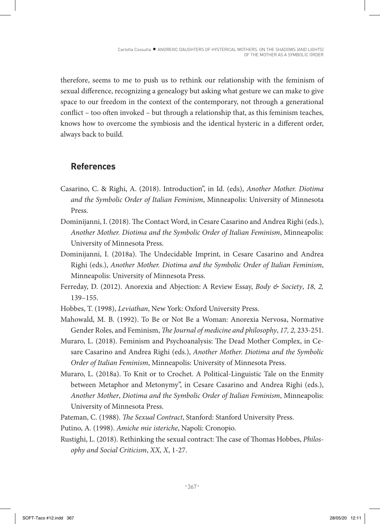therefore, seems to me to push us to rethink our relationship with the feminism of sexual difference, recognizing a genealogy but asking what gesture we can make to give space to our freedom in the context of the contemporary, not through a generational conflict – too often invoked – but through a relationship that, as this feminism teaches, knows how to overcome the symbiosis and the identical hysteric in a different order, always back to build.

## **References**

- Casarino, C. & Righi, A. (2018). Introduction", in Id. (eds), *Another Mother. Diotima and the Symbolic Order of Italian Feminism*, Minneapolis: University of Minnesota Press.
- Dominijanni, I. (2018). The Contact Word, in Cesare Casarino and Andrea Righi (eds.), *Another Mother. Diotima and the Symbolic Order of Italian Feminism*, Minneapolis: University of Minnesota Press.
- Dominijanni, I. (2018a). The Undecidable Imprint, in Cesare Casarino and Andrea Righi (eds.), *Another Mother. Diotima and the Symbolic Order of Italian Feminism*, Minneapolis: University of Minnesota Press.
- Ferreday, D. (2012). Anorexia and Abjection: A Review Essay, *Body & Society*, *18, 2,*  139–155.
- Hobbes, T. (1998), *Leviathan*, New York: Oxford University Press.
- Mahowald, M. B. (1992). To Be or Not Be a Woman: Anorexia Nervosa, Normative Gender Roles, and Feminism, *The Journal of medicine and philosophy*, *17, 2,* 233-251.
- Muraro, L. (2018). Feminism and Psychoanalysis: The Dead Mother Complex, in Cesare Casarino and Andrea Righi (eds.), *Another Mother. Diotima and the Symbolic Order of Italian Feminism*, Minneapolis: University of Minnesota Press.
- Muraro, L. (2018a). To Knit or to Crochet. A Political-Linguistic Tale on the Enmity between Metaphor and Metonymy", in Cesare Casarino and Andrea Righi (eds.), *Another Mother*, *Diotima and the Symbolic Order of Italian Feminism*, Minneapolis: University of Minnesota Press.
- Pateman, C. (1988). *The Sexual Contract*, Stanford: Stanford University Press.
- Putino, A. (1998). *Amiche mie isteriche*, Napoli: Cronopio.
- Rustighi, L. (2018). Rethinking the sexual contract: The case of Thomas Hobbes, *Philosophy and Social Criticism*, *XX, X*, 1-27.